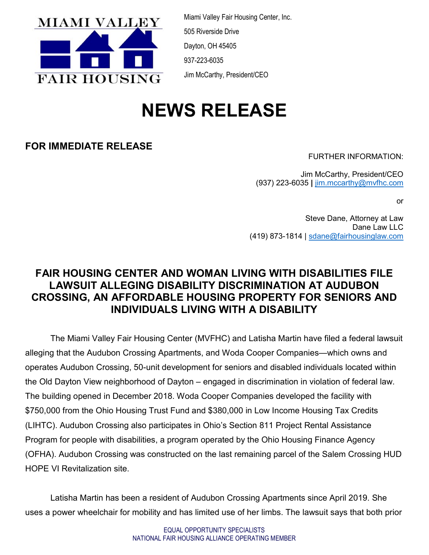

Miami Valley Fair Housing Center, Inc. 505 Riverside Drive Dayton, OH 45405 937-223-6035 Jim McCarthy, President/CEO

# NEWS RELEASE

### FOR IMMEDIATE RELEASE

FURTHER INFORMATION:

Jim McCarthy, President/CEO (937) 223-6035 | jim.mccarthy@mvfhc.com

or

Steve Dane, Attorney at Law Dane Law LLC (419) 873-1814 | sdane@fairhousinglaw.com

## FAIR HOUSING CENTER AND WOMAN LIVING WITH DISABILITIES FILE LAWSUIT ALLEGING DISABILITY DISCRIMINATION AT AUDUBON CROSSING, AN AFFORDABLE HOUSING PROPERTY FOR SENIORS AND INDIVIDUALS LIVING WITH A DISABILITY

The Miami Valley Fair Housing Center (MVFHC) and Latisha Martin have filed a federal lawsuit alleging that the Audubon Crossing Apartments, and Woda Cooper Companies—which owns and operates Audubon Crossing, 50-unit development for seniors and disabled individuals located within the Old Dayton View neighborhood of Dayton – engaged in discrimination in violation of federal law. The building opened in December 2018. Woda Cooper Companies developed the facility with \$750,000 from the Ohio Housing Trust Fund and \$380,000 in Low Income Housing Tax Credits (LIHTC). Audubon Crossing also participates in Ohio's Section 811 Project Rental Assistance Program for people with disabilities, a program operated by the Ohio Housing Finance Agency (OFHA). Audubon Crossing was constructed on the last remaining parcel of the Salem Crossing HUD HOPE VI Revitalization site.

Latisha Martin has been a resident of Audubon Crossing Apartments since April 2019. She uses a power wheelchair for mobility and has limited use of her limbs. The lawsuit says that both prior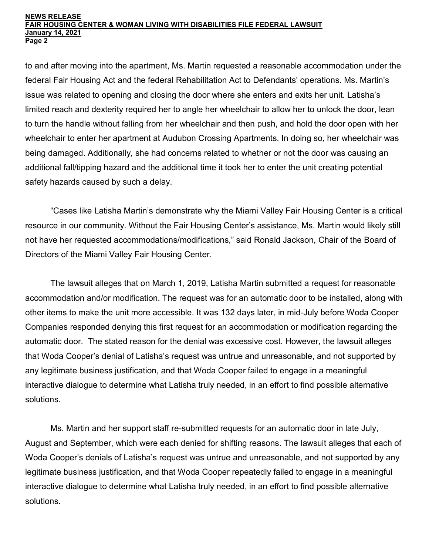#### NEWS RELEASE FAIR HOUSING CENTER & WOMAN LIVING WITH DISABILITIES FILE FEDERAL LAWSUIT January 14, 2021 Page 2

to and after moving into the apartment, Ms. Martin requested a reasonable accommodation under the federal Fair Housing Act and the federal Rehabilitation Act to Defendants' operations. Ms. Martin's issue was related to opening and closing the door where she enters and exits her unit. Latisha's limited reach and dexterity required her to angle her wheelchair to allow her to unlock the door, lean to turn the handle without falling from her wheelchair and then push, and hold the door open with her wheelchair to enter her apartment at Audubon Crossing Apartments. In doing so, her wheelchair was being damaged. Additionally, she had concerns related to whether or not the door was causing an additional fall/tipping hazard and the additional time it took her to enter the unit creating potential safety hazards caused by such a delay.

"Cases like Latisha Martin's demonstrate why the Miami Valley Fair Housing Center is a critical resource in our community. Without the Fair Housing Center's assistance, Ms. Martin would likely still not have her requested accommodations/modifications," said Ronald Jackson, Chair of the Board of Directors of the Miami Valley Fair Housing Center.

The lawsuit alleges that on March 1, 2019, Latisha Martin submitted a request for reasonable accommodation and/or modification. The request was for an automatic door to be installed, along with other items to make the unit more accessible. It was 132 days later, in mid-July before Woda Cooper Companies responded denying this first request for an accommodation or modification regarding the automatic door. The stated reason for the denial was excessive cost. However, the lawsuit alleges that Woda Cooper's denial of Latisha's request was untrue and unreasonable, and not supported by any legitimate business justification, and that Woda Cooper failed to engage in a meaningful interactive dialogue to determine what Latisha truly needed, in an effort to find possible alternative solutions.

Ms. Martin and her support staff re-submitted requests for an automatic door in late July, August and September, which were each denied for shifting reasons. The lawsuit alleges that each of Woda Cooper's denials of Latisha's request was untrue and unreasonable, and not supported by any legitimate business justification, and that Woda Cooper repeatedly failed to engage in a meaningful interactive dialogue to determine what Latisha truly needed, in an effort to find possible alternative solutions.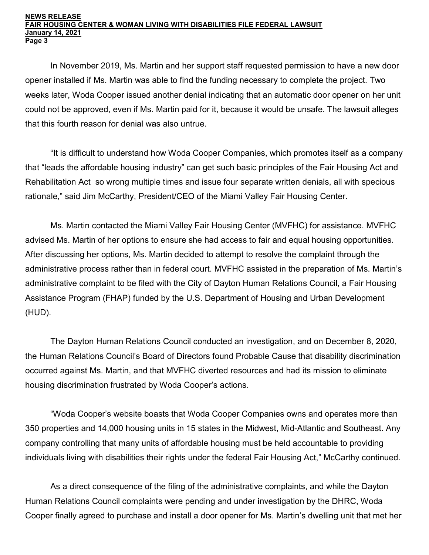#### NEWS RELEASE FAIR HOUSING CENTER & WOMAN LIVING WITH DISABILITIES FILE FEDERAL LAWSUIT January 14, 2021 Page 3

In November 2019, Ms. Martin and her support staff requested permission to have a new door opener installed if Ms. Martin was able to find the funding necessary to complete the project. Two weeks later, Woda Cooper issued another denial indicating that an automatic door opener on her unit could not be approved, even if Ms. Martin paid for it, because it would be unsafe. The lawsuit alleges that this fourth reason for denial was also untrue.

"It is difficult to understand how Woda Cooper Companies, which promotes itself as a company that "leads the affordable housing industry" can get such basic principles of the Fair Housing Act and Rehabilitation Act so wrong multiple times and issue four separate written denials, all with specious rationale," said Jim McCarthy, President/CEO of the Miami Valley Fair Housing Center.

Ms. Martin contacted the Miami Valley Fair Housing Center (MVFHC) for assistance. MVFHC advised Ms. Martin of her options to ensure she had access to fair and equal housing opportunities. After discussing her options, Ms. Martin decided to attempt to resolve the complaint through the administrative process rather than in federal court. MVFHC assisted in the preparation of Ms. Martin's administrative complaint to be filed with the City of Dayton Human Relations Council, a Fair Housing Assistance Program (FHAP) funded by the U.S. Department of Housing and Urban Development (HUD).

The Dayton Human Relations Council conducted an investigation, and on December 8, 2020, the Human Relations Council's Board of Directors found Probable Cause that disability discrimination occurred against Ms. Martin, and that MVFHC diverted resources and had its mission to eliminate housing discrimination frustrated by Woda Cooper's actions.

"Woda Cooper's website boasts that Woda Cooper Companies owns and operates more than 350 properties and 14,000 housing units in 15 states in the Midwest, Mid-Atlantic and Southeast. Any company controlling that many units of affordable housing must be held accountable to providing individuals living with disabilities their rights under the federal Fair Housing Act," McCarthy continued.

As a direct consequence of the filing of the administrative complaints, and while the Dayton Human Relations Council complaints were pending and under investigation by the DHRC, Woda Cooper finally agreed to purchase and install a door opener for Ms. Martin's dwelling unit that met her